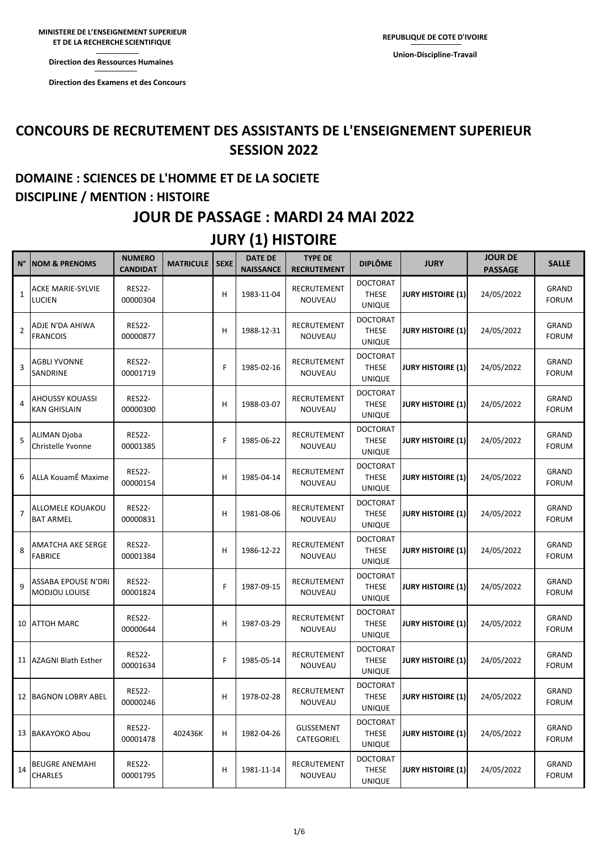**Direction des Ressources Humaines** 

**Direction des Examens et des Concours** 

#### **CONCOURS DE RECRUTEMENT DES ASSISTANTS DE L'ENSEIGNEMENT SUPERIEUR SESSION 2022**

## **DOMAINE : SCIENCES DE L'HOMME ET DE LA SOCIETE DISCIPLINE / MENTION : HISTOIRE**

#### **JOUR DE PASSAGE : MARDI 24 MAI 2022**

#### **JURY (1) HISTOIRE**

| N°             | <b>NOM &amp; PRENOMS</b>                      | <b>NUMERO</b><br><b>CANDIDAT</b> | <b>MATRICULE</b> | <b>SEXE</b> | <b>DATE DE</b><br><b>NAISSANCE</b> | <b>TYPE DE</b><br><b>RECRUTEMENT</b> | <b>DIPLÔME</b>                                   | <b>JURY</b>              | <b>JOUR DE</b><br><b>PASSAGE</b> | <b>SALLE</b>                 |
|----------------|-----------------------------------------------|----------------------------------|------------------|-------------|------------------------------------|--------------------------------------|--------------------------------------------------|--------------------------|----------------------------------|------------------------------|
| 1              | <b>ACKE MARIE-SYLVIE</b><br><b>LUCIEN</b>     | <b>RES22-</b><br>00000304        |                  | H           | 1983-11-04                         | RECRUTEMENT<br>NOUVEAU               | <b>DOCTORAT</b><br><b>THESE</b><br><b>UNIQUE</b> | <b>JURY HISTOIRE (1)</b> | 24/05/2022                       | GRAND<br><b>FORUM</b>        |
| $\overline{2}$ | ADJE N'DA AHIWA<br><b>FRANCOIS</b>            | <b>RES22-</b><br>00000877        |                  | H           | 1988-12-31                         | RECRUTEMENT<br>NOUVEAU               | <b>DOCTORAT</b><br><b>THESE</b><br><b>UNIQUE</b> | <b>JURY HISTOIRE (1)</b> | 24/05/2022                       | <b>GRAND</b><br><b>FORUM</b> |
| 3              | <b>AGBLI YVONNE</b><br>SANDRINE               | <b>RES22-</b><br>00001719        |                  | F           | 1985-02-16                         | RECRUTEMENT<br>NOUVEAU               | <b>DOCTORAT</b><br><b>THESE</b><br><b>UNIQUE</b> | <b>JURY HISTOIRE (1)</b> | 24/05/2022                       | <b>GRAND</b><br><b>FORUM</b> |
| 4              | <b>AHOUSSY KOUASSI</b><br><b>KAN GHISLAIN</b> | <b>RES22-</b><br>00000300        |                  | H           | 1988-03-07                         | RECRUTEMENT<br>NOUVEAU               | <b>DOCTORAT</b><br><b>THESE</b><br><b>UNIQUE</b> | <b>JURY HISTOIRE (1)</b> | 24/05/2022                       | GRAND<br><b>FORUM</b>        |
| 5              | ALIMAN Djoba<br>Christelle Yvonne             | <b>RES22-</b><br>00001385        |                  | F           | 1985-06-22                         | RECRUTEMENT<br>NOUVEAU               | <b>DOCTORAT</b><br><b>THESE</b><br><b>UNIQUE</b> | <b>JURY HISTOIRE (1)</b> | 24/05/2022                       | GRAND<br><b>FORUM</b>        |
| 6              | ALLA KouamÉ Maxime                            | <b>RES22-</b><br>00000154        |                  | H           | 1985-04-14                         | RECRUTEMENT<br>NOUVEAU               | <b>DOCTORAT</b><br><b>THESE</b><br><b>UNIQUE</b> | <b>JURY HISTOIRE (1)</b> | 24/05/2022                       | GRAND<br><b>FORUM</b>        |
| $\overline{7}$ | ALLOMELE KOUAKOU<br><b>BAT ARMEL</b>          | <b>RES22-</b><br>00000831        |                  | H           | 1981-08-06                         | RECRUTEMENT<br>NOUVEAU               | <b>DOCTORAT</b><br><b>THESE</b><br><b>UNIQUE</b> | <b>JURY HISTOIRE (1)</b> | 24/05/2022                       | GRAND<br><b>FORUM</b>        |
| 8              | <b>AMATCHA AKE SERGE</b><br><b>FABRICE</b>    | <b>RES22-</b><br>00001384        |                  | H           | 1986-12-22                         | RECRUTEMENT<br>NOUVEAU               | <b>DOCTORAT</b><br><b>THESE</b><br><b>UNIQUE</b> | <b>JURY HISTOIRE (1)</b> | 24/05/2022                       | GRAND<br><b>FORUM</b>        |
| 9              | ASSABA EPOUSE N'DRI<br><b>MODJOU LOUISE</b>   | <b>RES22-</b><br>00001824        |                  | F           | 1987-09-15                         | RECRUTEMENT<br>NOUVEAU               | <b>DOCTORAT</b><br><b>THESE</b><br><b>UNIQUE</b> | <b>JURY HISTOIRE (1)</b> | 24/05/2022                       | GRAND<br><b>FORUM</b>        |
|                | 10 ATTOH MARC                                 | <b>RES22-</b><br>00000644        |                  | H           | 1987-03-29                         | RECRUTEMENT<br>NOUVEAU               | <b>DOCTORAT</b><br><b>THESE</b><br><b>UNIQUE</b> | <b>JURY HISTOIRE (1)</b> | 24/05/2022                       | GRAND<br><b>FORUM</b>        |
|                | 11 AZAGNI Blath Esther                        | <b>RES22-</b><br>00001634        |                  | F           | 1985-05-14                         | RECRUTEMENT<br><b>NOUVEAU</b>        | <b>DOCTORAT</b><br><b>THESE</b><br><b>UNIQUE</b> | <b>JURY HISTOIRE (1)</b> | 24/05/2022                       | GRAND<br><b>FORUM</b>        |
|                | 12 BAGNON LOBRY ABEL                          | <b>RES22-</b><br>00000246        |                  | H           | 1978-02-28                         | RECRUTEMENT<br>NOUVEAU               | <b>DOCTORAT</b><br><b>THESE</b><br><b>UNIQUE</b> | JURY HISTOIRE (1)        | 24/05/2022                       | GRAND<br>FORUM               |
|                | 13 BAKAYOKO Abou                              | <b>RES22-</b><br>00001478        | 402436K          | H           | 1982-04-26                         | GLISSEMENT<br>CATEGORIEL             | <b>DOCTORAT</b><br><b>THESE</b><br><b>UNIQUE</b> | <b>JURY HISTOIRE (1)</b> | 24/05/2022                       | GRAND<br><b>FORUM</b>        |
| 14             | <b>BEUGRE ANEMAHI</b><br><b>CHARLES</b>       | <b>RES22-</b><br>00001795        |                  | H           | 1981-11-14                         | RECRUTEMENT<br>NOUVEAU               | <b>DOCTORAT</b><br><b>THESE</b><br><b>UNIQUE</b> | <b>JURY HISTOIRE (1)</b> | 24/05/2022                       | GRAND<br><b>FORUM</b>        |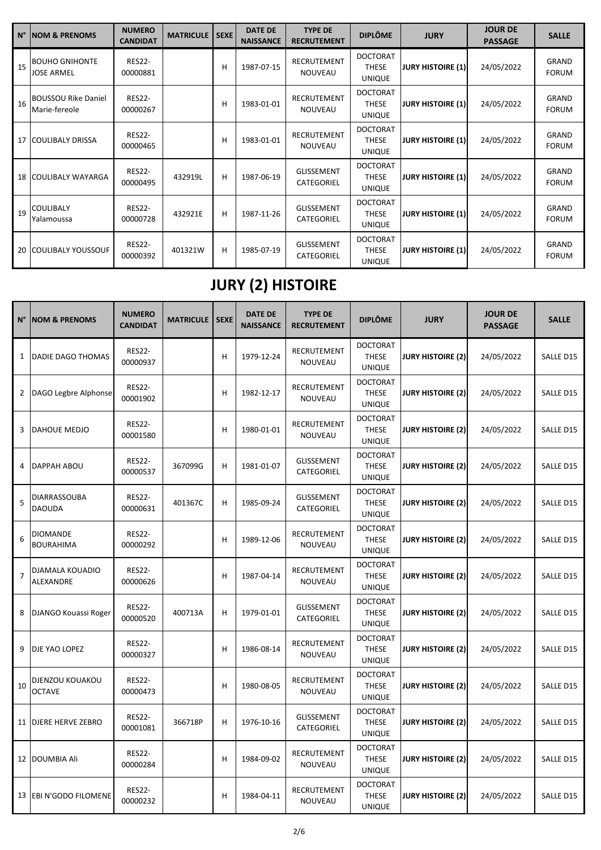| $N^{\circ}$ | <b>NOM &amp; PRENOMS</b>                    | <b>NUMERO</b><br><b>CANDIDAT</b> | <b>MATRICULE</b> | <b>SEXE</b> | <b>DATE DE</b><br><b>NAISSANCE</b> | <b>TYPE DE</b><br><b>RECRUTEMENT</b> | <b>DIPLÔME</b>                                   | <b>JURY</b>              | <b>JOUR DE</b><br><b>PASSAGE</b> | <b>SALLE</b>                 |
|-------------|---------------------------------------------|----------------------------------|------------------|-------------|------------------------------------|--------------------------------------|--------------------------------------------------|--------------------------|----------------------------------|------------------------------|
| 15          | <b>BOUHO GNIHONTE</b><br>JOSE ARMEL         | <b>RES22-</b><br>00000881        |                  | Н           | 1987-07-15                         | <b>RECRUTEMENT</b><br><b>NOUVEAU</b> | <b>DOCTORAT</b><br><b>THESE</b><br><b>UNIQUE</b> | <b>JURY HISTOIRE (1)</b> | 24/05/2022                       | <b>GRAND</b><br><b>FORUM</b> |
| 16          | <b>BOUSSOU Rike Daniel</b><br>Marie-fereole | <b>RES22-</b><br>00000267        |                  | Н           | 1983-01-01                         | <b>RECRUTEMENT</b><br><b>NOUVEAU</b> | <b>DOCTORAT</b><br><b>THESE</b><br><b>UNIQUE</b> | <b>JURY HISTOIRE (1)</b> | 24/05/2022                       | GRAND<br><b>FORUM</b>        |
| 17          | <b>COULIBALY DRISSA</b>                     | <b>RES22-</b><br>00000465        |                  | H           | 1983-01-01                         | <b>RECRUTEMENT</b><br><b>NOUVEAU</b> | <b>DOCTORAT</b><br><b>THESE</b><br><b>UNIQUE</b> | <b>JURY HISTOIRE (1)</b> | 24/05/2022                       | GRAND<br><b>FORUM</b>        |
| 18          | <b>COULIBALY WAYARGA</b>                    | <b>RES22-</b><br>00000495        | 432919L          | H           | 1987-06-19                         | <b>GLISSEMENT</b><br>CATEGORIEL      | <b>DOCTORAT</b><br><b>THESE</b><br><b>UNIQUE</b> | <b>JURY HISTOIRE (1)</b> | 24/05/2022                       | GRAND<br><b>FORUM</b>        |
| 19          | <b>COULIBALY</b><br>Yalamoussa              | <b>RES22-</b><br>00000728        | 432921E          | н           | 1987-11-26                         | <b>GLISSEMENT</b><br>CATEGORIEL      | <b>DOCTORAT</b><br><b>THESE</b><br><b>UNIQUE</b> | <b>JURY HISTOIRE (1)</b> | 24/05/2022                       | GRAND<br><b>FORUM</b>        |
| 20          | <b>COULIBALY YOUSSOUF</b>                   | <b>RES22-</b><br>00000392        | 401321W          | н           | 1985-07-19                         | <b>GLISSEMENT</b><br>CATEGORIEL      | <b>DOCTORAT</b><br><b>THESE</b><br><b>UNIQUE</b> | <b>JURY HISTOIRE (1)</b> | 24/05/2022                       | <b>GRAND</b><br><b>FORUM</b> |

# **JURY (2) HISTOIRE**

| $N^{\circ}$    | <b>NOM &amp; PRENOMS</b>         | <b>NUMERO</b><br><b>CANDIDAT</b> | <b>MATRICULE</b> | <b>SEXE</b> | <b>DATE DE</b><br><b>NAISSANCE</b> | <b>TYPE DE</b><br><b>RECRUTEMENT</b> | <b>DIPLÔME</b>                                   | <b>JURY</b>              | <b>JOUR DE</b><br><b>PASSAGE</b> | <b>SALLE</b> |
|----------------|----------------------------------|----------------------------------|------------------|-------------|------------------------------------|--------------------------------------|--------------------------------------------------|--------------------------|----------------------------------|--------------|
| 1              | DADIE DAGO THOMAS                | <b>RES22-</b><br>00000937        |                  | H           | 1979-12-24                         | RECRUTEMENT<br>NOUVEAU               | <b>DOCTORAT</b><br><b>THESE</b><br><b>UNIQUE</b> | <b>JURY HISTOIRE (2)</b> | 24/05/2022                       | SALLE D15    |
| 2              | DAGO Legbre Alphonse             | <b>RES22-</b><br>00001902        |                  | H           | 1982-12-17                         | <b>RECRUTEMENT</b><br><b>NOUVEAU</b> | <b>DOCTORAT</b><br><b>THESE</b><br><b>UNIQUE</b> | <b>JURY HISTOIRE (2)</b> | 24/05/2022                       | SALLE D15    |
| 3              | DAHOUE MEDJO                     | <b>RES22-</b><br>00001580        |                  | H           | 1980-01-01                         | RECRUTEMENT<br>NOUVEAU               | <b>DOCTORAT</b><br><b>THESE</b><br><b>UNIQUE</b> | <b>JURY HISTOIRE (2)</b> | 24/05/2022                       | SALLE D15    |
| 4              | DAPPAH ABOU                      | <b>RES22-</b><br>00000537        | 367099G          | H           | 1981-01-07                         | <b>GLISSEMENT</b><br>CATEGORIEL      | <b>DOCTORAT</b><br><b>THESE</b><br><b>UNIQUE</b> | <b>JURY HISTOIRE (2)</b> | 24/05/2022                       | SALLE D15    |
| 5              | DIARRASSOUBA<br><b>DAOUDA</b>    | <b>RES22-</b><br>00000631        | 401367C          | H           | 1985-09-24                         | <b>GLISSEMENT</b><br>CATEGORIEL      | <b>DOCTORAT</b><br><b>THESE</b><br><b>UNIQUE</b> | <b>JURY HISTOIRE (2)</b> | 24/05/2022                       | SALLE D15    |
| 6              | DIOMANDE<br><b>BOURAHIMA</b>     | <b>RES22-</b><br>00000292        |                  | H           | 1989-12-06                         | RECRUTEMENT<br>NOUVEAU               | <b>DOCTORAT</b><br><b>THESE</b><br><b>UNIQUE</b> | <b>JURY HISTOIRE (2)</b> | 24/05/2022                       | SALLE D15    |
| $\overline{7}$ | DJAMALA KOUADIO<br>ALEXANDRE     | <b>RES22-</b><br>00000626        |                  | H           | 1987-04-14                         | RECRUTEMENT<br>NOUVEAU               | <b>DOCTORAT</b><br><b>THESE</b><br><b>UNIQUE</b> | <b>JURY HISTOIRE (2)</b> | 24/05/2022                       | SALLE D15    |
| 8              | DJANGO Kouassi Roger             | <b>RES22-</b><br>00000520        | 400713A          | H           | 1979-01-01                         | <b>GLISSEMENT</b><br>CATEGORIEL      | <b>DOCTORAT</b><br><b>THESE</b><br><b>UNIQUE</b> | <b>JURY HISTOIRE (2)</b> | 24/05/2022                       | SALLE D15    |
| 9              | DJE YAO LOPEZ                    | <b>RES22-</b><br>00000327        |                  | H           | 1986-08-14                         | RECRUTEMENT<br><b>NOUVEAU</b>        | <b>DOCTORAT</b><br><b>THESE</b><br><b>UNIQUE</b> | <b>JURY HISTOIRE (2)</b> | 24/05/2022                       | SALLE D15    |
| 10             | DJENZOU KOUAKOU<br><b>OCTAVE</b> | <b>RES22-</b><br>00000473        |                  | H           | 1980-08-05                         | RECRUTEMENT<br>NOUVEAU               | <b>DOCTORAT</b><br><b>THESE</b><br><b>UNIQUE</b> | <b>JURY HISTOIRE (2)</b> | 24/05/2022                       | SALLE D15    |
| 11             | DJERE HERVE ZEBRO                | <b>RES22-</b><br>00001081        | 366718P          | H           | 1976-10-16                         | <b>GLISSEMENT</b><br>CATEGORIEL      | <b>DOCTORAT</b><br><b>THESE</b><br><b>UNIQUE</b> | <b>JURY HISTOIRE (2)</b> | 24/05/2022                       | SALLE D15    |
|                | 12 DOUMBIA Ali                   | <b>RES22-</b><br>00000284        |                  | H           | 1984-09-02                         | RECRUTEMENT<br>NOUVEAU               | <b>DOCTORAT</b><br><b>THESE</b><br><b>UNIQUE</b> | <b>JURY HISTOIRE (2)</b> | 24/05/2022                       | SALLE D15    |
| 13             | EBI N'GODO FILOMENE              | <b>RES22-</b><br>00000232        |                  | H           | 1984-04-11                         | RECRUTEMENT<br>NOUVEAU               | <b>DOCTORAT</b><br><b>THESE</b><br><b>UNIQUE</b> | <b>JURY HISTOIRE (2)</b> | 24/05/2022                       | SALLE D15    |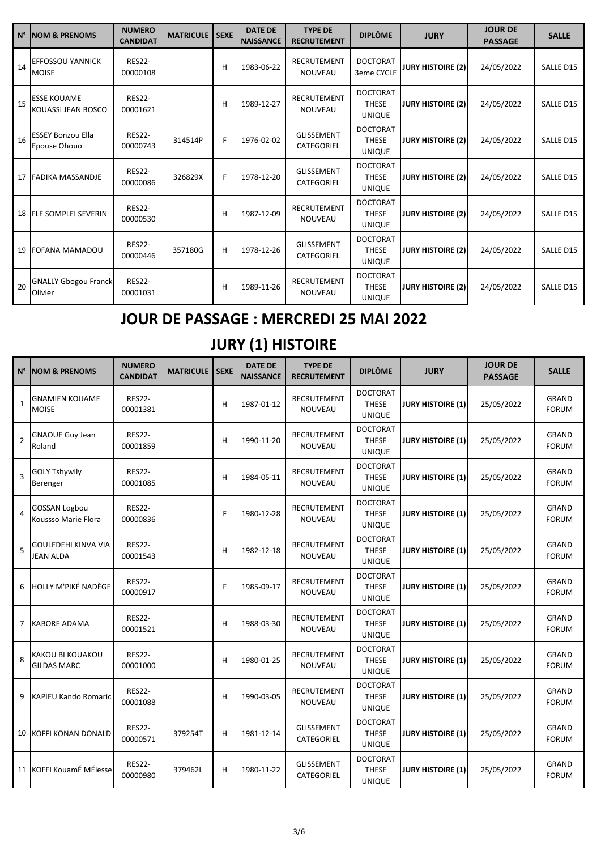|    | N° NOM & PRENOMS                         | <b>NUMERO</b><br><b>CANDIDAT</b> | <b>MATRICULE</b> | <b>SEXE</b> | <b>DATE DE</b><br><b>NAISSANCE</b> | <b>TYPE DE</b><br><b>RECRUTEMENT</b> | <b>DIPLÔME</b>                                   | <b>JURY</b>              | <b>JOUR DE</b><br><b>PASSAGE</b> | <b>SALLE</b> |
|----|------------------------------------------|----------------------------------|------------------|-------------|------------------------------------|--------------------------------------|--------------------------------------------------|--------------------------|----------------------------------|--------------|
| 14 | <b>EFFOSSOU YANNICK</b><br><b>MOISE</b>  | <b>RES22-</b><br>00000108        |                  | H           | 1983-06-22                         | <b>RECRUTEMENT</b><br><b>NOUVEAU</b> | <b>DOCTORAT</b><br>3eme CYCLE                    | <b>JURY HISTOIRE (2)</b> | 24/05/2022                       | SALLE D15    |
| 15 | <b>ESSE KOUAME</b><br>KOUASSI JEAN BOSCO | <b>RES22-</b><br>00001621        |                  | н           | 1989-12-27                         | <b>RECRUTEMENT</b><br><b>NOUVEAU</b> | <b>DOCTORAT</b><br><b>THESE</b><br><b>UNIQUE</b> | <b>JURY HISTOIRE (2)</b> | 24/05/2022                       | SALLE D15    |
| 16 | <b>ESSEY Bonzou Ella</b><br>Epouse Ohouo | <b>RES22-</b><br>00000743        | 314514P          | F           | 1976-02-02                         | <b>GLISSEMENT</b><br>CATEGORIEL      | <b>DOCTORAT</b><br><b>THESE</b><br><b>UNIQUE</b> | <b>JURY HISTOIRE (2)</b> | 24/05/2022                       | SALLE D15    |
|    | 17 FADIKA MASSANDJE                      | <b>RES22-</b><br>00000086        | 326829X          | F           | 1978-12-20                         | <b>GLISSEMENT</b><br>CATEGORIEL      | <b>DOCTORAT</b><br><b>THESE</b><br><b>UNIQUE</b> | <b>JURY HISTOIRE (2)</b> | 24/05/2022                       | SALLE D15    |
|    | 18 FLE SOMPLEI SEVERIN                   | <b>RES22-</b><br>00000530        |                  | Н           | 1987-12-09                         | RECRUTEMENT<br><b>NOUVEAU</b>        | <b>DOCTORAT</b><br><b>THESE</b><br><b>UNIQUE</b> | <b>JURY HISTOIRE (2)</b> | 24/05/2022                       | SALLE D15    |
|    | 19 FOFANA MAMADOU                        | <b>RES22-</b><br>00000446        | 357180G          | н           | 1978-12-26                         | <b>GLISSEMENT</b><br>CATEGORIEL      | <b>DOCTORAT</b><br><b>THESE</b><br><b>UNIQUE</b> | <b>JURY HISTOIRE (2)</b> | 24/05/2022                       | SALLE D15    |
| 20 | <b>GNALLY Gbogou Franck</b><br>Olivier   | <b>RES22-</b><br>00001031        |                  | Н           | 1989-11-26                         | <b>RECRUTEMENT</b><br><b>NOUVEAU</b> | <b>DOCTORAT</b><br><b>THESE</b><br><b>UNIQUE</b> | <b>JURY HISTOIRE (2)</b> | 24/05/2022                       | SALLE D15    |

### **JOUR DE PASSAGE : MERCREDI 25 MAI 2022**

## **JURY (1) HISTOIRE**

| $N^{\circ}$    | <b>NOM &amp; PRENOMS</b>                    | <b>NUMERO</b><br><b>CANDIDAT</b> | <b>MATRICULE</b> | <b>SEXE</b> | <b>DATE DE</b><br><b>NAISSANCE</b> | <b>TYPE DE</b><br><b>RECRUTEMENT</b> | <b>DIPLÔME</b>                                   | <b>JURY</b>              | <b>JOUR DE</b><br><b>PASSAGE</b> | <b>SALLE</b>                 |
|----------------|---------------------------------------------|----------------------------------|------------------|-------------|------------------------------------|--------------------------------------|--------------------------------------------------|--------------------------|----------------------------------|------------------------------|
| $\mathbf{1}$   | <b>GNAMIEN KOUAME</b><br><b>MOISE</b>       | <b>RES22-</b><br>00001381        |                  | H           | 1987-01-12                         | RECRUTEMENT<br>NOUVEAU               | <b>DOCTORAT</b><br><b>THESE</b><br><b>UNIQUE</b> | <b>JURY HISTOIRE (1)</b> | 25/05/2022                       | <b>GRAND</b><br><b>FORUM</b> |
| $\overline{2}$ | <b>GNAOUE Guy Jean</b><br>Roland            | <b>RES22-</b><br>00001859        |                  | Н           | 1990-11-20                         | RECRUTEMENT<br><b>NOUVEAU</b>        | <b>DOCTORAT</b><br><b>THESE</b><br><b>UNIQUE</b> | <b>JURY HISTOIRE (1)</b> | 25/05/2022                       | GRAND<br><b>FORUM</b>        |
| 3              | <b>GOLY Tshywily</b><br>Berenger            | <b>RES22-</b><br>00001085        |                  | H           | 1984-05-11                         | RECRUTEMENT<br>NOUVEAU               | <b>DOCTORAT</b><br><b>THESE</b><br><b>UNIQUE</b> | <b>JURY HISTOIRE (1)</b> | 25/05/2022                       | GRAND<br><b>FORUM</b>        |
| 4              | <b>GOSSAN Logbou</b><br>Koussso Marie Flora | <b>RES22-</b><br>00000836        |                  | F           | 1980-12-28                         | <b>RECRUTEMENT</b><br>NOUVEAU        | <b>DOCTORAT</b><br><b>THESE</b><br><b>UNIQUE</b> | <b>JURY HISTOIRE (1)</b> | 25/05/2022                       | <b>GRAND</b><br><b>FORUM</b> |
| 5              | GOULEDEHI KINVA VIA<br><b>JEAN ALDA</b>     | <b>RES22-</b><br>00001543        |                  | H           | 1982-12-18                         | <b>RECRUTEMENT</b><br>NOUVEAU        | <b>DOCTORAT</b><br><b>THESE</b><br><b>UNIQUE</b> | <b>JURY HISTOIRE (1)</b> | 25/05/2022                       | <b>GRAND</b><br><b>FORUM</b> |
| 6              | HOLLY M'PIKÉ NADÈGE                         | <b>RES22-</b><br>00000917        |                  | F           | 1985-09-17                         | RECRUTEMENT<br>NOUVEAU               | <b>DOCTORAT</b><br><b>THESE</b><br><b>UNIQUE</b> | <b>JURY HISTOIRE (1)</b> | 25/05/2022                       | GRAND<br><b>FORUM</b>        |
| 7              | <b>KABORE ADAMA</b>                         | <b>RES22-</b><br>00001521        |                  | H           | 1988-03-30                         | RECRUTEMENT<br><b>NOUVEAU</b>        | <b>DOCTORAT</b><br><b>THESE</b><br><b>UNIQUE</b> | <b>JURY HISTOIRE (1)</b> | 25/05/2022                       | GRAND<br><b>FORUM</b>        |
| 8              | KAKOU BI KOUAKOU<br><b>GILDAS MARC</b>      | <b>RES22-</b><br>00001000        |                  | Н           | 1980-01-25                         | <b>RECRUTEMENT</b><br><b>NOUVEAU</b> | <b>DOCTORAT</b><br><b>THESE</b><br><b>UNIQUE</b> | <b>JURY HISTOIRE (1)</b> | 25/05/2022                       | <b>GRAND</b><br><b>FORUM</b> |
| 9              | <b>KAPIEU Kando Romaric</b>                 | <b>RES22-</b><br>00001088        |                  | H           | 1990-03-05                         | RECRUTEMENT<br>NOUVEAU               | <b>DOCTORAT</b><br>THESE<br><b>UNIQUE</b>        | <b>JURY HISTOIRE (1)</b> | 25/05/2022                       | <b>GRAND</b><br><b>FORUM</b> |
|                | <b>10 KOFFI KONAN DONALD</b>                | <b>RES22-</b><br>00000571        | 379254T          | Н           | 1981-12-14                         | GLISSEMENT<br>CATEGORIEL             | <b>DOCTORAT</b><br><b>THESE</b><br><b>UNIQUE</b> | <b>JURY HISTOIRE (1)</b> | 25/05/2022                       | <b>GRAND</b><br><b>FORUM</b> |
|                | 11 KOFFI KouamÉ MÉlesse                     | <b>RES22-</b><br>00000980        | 379462L          | Н           | 1980-11-22                         | <b>GLISSEMENT</b><br>CATEGORIEL      | <b>DOCTORAT</b><br><b>THESE</b><br><b>UNIQUE</b> | <b>JURY HISTOIRE (1)</b> | 25/05/2022                       | GRAND<br><b>FORUM</b>        |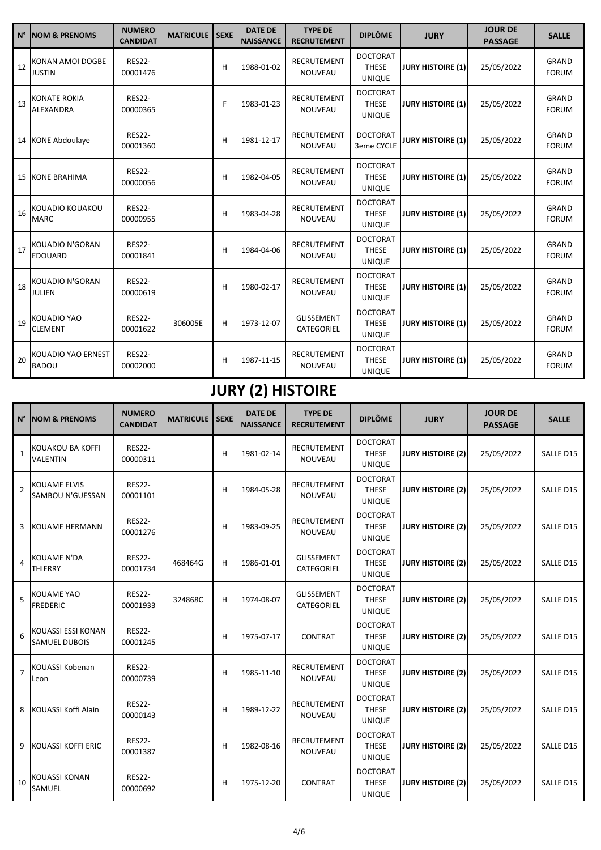| $N^{\circ}$     | <b>NOM &amp; PRENOMS</b>                | <b>NUMERO</b><br><b>CANDIDAT</b> | <b>MATRICULE</b> | <b>SEXE</b> | <b>DATE DE</b><br><b>NAISSANCE</b> | <b>TYPE DE</b><br><b>RECRUTEMENT</b> | <b>DIPLÔME</b>                                   | <b>JURY</b>              | <b>JOUR DE</b><br><b>PASSAGE</b> | <b>SALLE</b>                 |
|-----------------|-----------------------------------------|----------------------------------|------------------|-------------|------------------------------------|--------------------------------------|--------------------------------------------------|--------------------------|----------------------------------|------------------------------|
| 12              | KONAN AMOI DOGBE<br><b>JUSTIN</b>       | <b>RES22-</b><br>00001476        |                  | H           | 1988-01-02                         | <b>RECRUTEMENT</b><br><b>NOUVEAU</b> | <b>DOCTORAT</b><br><b>THESE</b><br><b>UNIQUE</b> | <b>JURY HISTOIRE (1)</b> | 25/05/2022                       | <b>GRAND</b><br><b>FORUM</b> |
| 13              | KONATE ROKIA<br><b>ALEXANDRA</b>        | <b>RES22-</b><br>00000365        |                  | F           | 1983-01-23                         | RECRUTEMENT<br><b>NOUVEAU</b>        | <b>DOCTORAT</b><br><b>THESE</b><br><b>UNIQUE</b> | <b>JURY HISTOIRE (1)</b> | 25/05/2022                       | <b>GRAND</b><br><b>FORUM</b> |
|                 | 14 KONE Abdoulaye                       | <b>RES22-</b><br>00001360        |                  | Н           | 1981-12-17                         | <b>RECRUTEMENT</b><br><b>NOUVEAU</b> | <b>DOCTORAT</b><br>3eme CYCLE                    | <b>JURY HISTOIRE (1)</b> | 25/05/2022                       | <b>GRAND</b><br><b>FORUM</b> |
| 15 <sup>1</sup> | <b>KONE BRAHIMA</b>                     | <b>RES22-</b><br>00000056        |                  | H           | 1982-04-05                         | <b>RECRUTEMENT</b><br><b>NOUVEAU</b> | <b>DOCTORAT</b><br><b>THESE</b><br><b>UNIQUE</b> | <b>JURY HISTOIRE (1)</b> | 25/05/2022                       | <b>GRAND</b><br><b>FORUM</b> |
| 16              | KOUADIO KOUAKOU<br><b>MARC</b>          | <b>RES22-</b><br>00000955        |                  | Н           | 1983-04-28                         | <b>RECRUTEMENT</b><br><b>NOUVEAU</b> | <b>DOCTORAT</b><br><b>THESE</b><br><b>UNIQUE</b> | <b>JURY HISTOIRE (1)</b> | 25/05/2022                       | <b>GRAND</b><br><b>FORUM</b> |
| 17              | KOUADIO N'GORAN<br><b>EDOUARD</b>       | <b>RES22-</b><br>00001841        |                  | Н           | 1984-04-06                         | RECRUTEMENT<br><b>NOUVEAU</b>        | <b>DOCTORAT</b><br><b>THESE</b><br><b>UNIQUE</b> | <b>JURY HISTOIRE (1)</b> | 25/05/2022                       | <b>GRAND</b><br><b>FORUM</b> |
| 18              | <b>KOUADIO N'GORAN</b><br><b>JULIEN</b> | <b>RES22-</b><br>00000619        |                  | Н           | 1980-02-17                         | <b>RECRUTEMENT</b><br><b>NOUVEAU</b> | <b>DOCTORAT</b><br><b>THESE</b><br><b>UNIQUE</b> | <b>JURY HISTOIRE (1)</b> | 25/05/2022                       | <b>GRAND</b><br><b>FORUM</b> |
| 19              | KOUADIO YAO<br><b>CLEMENT</b>           | <b>RES22-</b><br>00001622        | 306005E          | Н           | 1973-12-07                         | <b>GLISSEMENT</b><br>CATEGORIEL      | <b>DOCTORAT</b><br><b>THESE</b><br><b>UNIQUE</b> | <b>JURY HISTOIRE (1)</b> | 25/05/2022                       | <b>GRAND</b><br><b>FORUM</b> |
| 20              | KOUADIO YAO ERNEST<br><b>BADOU</b>      | <b>RES22-</b><br>00002000        |                  | H           | 1987-11-15                         | <b>RECRUTEMENT</b><br><b>NOUVEAU</b> | <b>DOCTORAT</b><br><b>THESE</b><br><b>UNIQUE</b> | <b>JURY HISTOIRE (1)</b> | 25/05/2022                       | <b>GRAND</b><br><b>FORUM</b> |

# **JURY (2) HISTOIRE**

| $N^{\circ}$    | <b>NOM &amp; PRENOMS</b>                   | <b>NUMERO</b><br><b>CANDIDAT</b> | <b>MATRICULE</b> | <b>SEXE</b> | <b>DATE DE</b><br><b>NAISSANCE</b> | <b>TYPE DE</b><br><b>RECRUTEMENT</b> | <b>DIPLÔME</b>                                   | <b>JURY</b>              | <b>JOUR DE</b><br><b>PASSAGE</b> | <b>SALLE</b> |
|----------------|--------------------------------------------|----------------------------------|------------------|-------------|------------------------------------|--------------------------------------|--------------------------------------------------|--------------------------|----------------------------------|--------------|
| $\mathbf{1}$   | KOUAKOU BA KOFFI<br>VALENTIN               | <b>RES22-</b><br>00000311        |                  | H           | 1981-02-14                         | <b>RECRUTEMENT</b><br><b>NOUVEAU</b> | <b>DOCTORAT</b><br><b>THESE</b><br><b>UNIQUE</b> | <b>JURY HISTOIRE (2)</b> | 25/05/2022                       | SALLE D15    |
| $\overline{2}$ | <b>KOUAME ELVIS</b><br>SAMBOU N'GUESSAN    | <b>RES22-</b><br>00001101        |                  | H           | 1984-05-28                         | RECRUTEMENT<br><b>NOUVEAU</b>        | <b>DOCTORAT</b><br><b>THESE</b><br><b>UNIQUE</b> | <b>JURY HISTOIRE (2)</b> | 25/05/2022                       | SALLE D15    |
| 3              | <b>KOUAME HERMANN</b>                      | <b>RES22-</b><br>00001276        |                  | H           | 1983-09-25                         | <b>RECRUTEMENT</b><br><b>NOUVEAU</b> | <b>DOCTORAT</b><br><b>THESE</b><br><b>UNIQUE</b> | <b>JURY HISTOIRE (2)</b> | 25/05/2022                       | SALLE D15    |
| 4              | <b>KOUAME N'DA</b><br>THIERRY              | <b>RES22-</b><br>00001734        | 468464G          | H           | 1986-01-01                         | <b>GLISSEMENT</b><br>CATEGORIEL      | <b>DOCTORAT</b><br><b>THESE</b><br><b>UNIQUE</b> | <b>JURY HISTOIRE (2)</b> | 25/05/2022                       | SALLE D15    |
| 5              | KOUAME YAO<br><b>FREDERIC</b>              | <b>RES22-</b><br>00001933        | 324868C          | H           | 1974-08-07                         | GLISSEMENT<br>CATEGORIEL             | <b>DOCTORAT</b><br><b>THESE</b><br><b>UNIQUE</b> | <b>JURY HISTOIRE (2)</b> | 25/05/2022                       | SALLE D15    |
| 6              | KOUASSI ESSI KONAN<br><b>SAMUEL DUBOIS</b> | <b>RES22-</b><br>00001245        |                  | н           | 1975-07-17                         | CONTRAT                              | <b>DOCTORAT</b><br><b>THESE</b><br><b>UNIQUE</b> | <b>JURY HISTOIRE (2)</b> | 25/05/2022                       | SALLE D15    |
| $\overline{7}$ | <b>KOUASSI Kobenan</b><br>Leon             | <b>RES22-</b><br>00000739        |                  | H           | 1985-11-10                         | <b>RECRUTEMENT</b><br><b>NOUVEAU</b> | <b>DOCTORAT</b><br><b>THESE</b><br><b>UNIQUE</b> | <b>JURY HISTOIRE (2)</b> | 25/05/2022                       | SALLE D15    |
| 8              | KOUASSI Koffi Alain                        | <b>RES22-</b><br>00000143        |                  | H           | 1989-12-22                         | RECRUTEMENT<br><b>NOUVEAU</b>        | <b>DOCTORAT</b><br><b>THESE</b><br><b>UNIQUE</b> | <b>JURY HISTOIRE (2)</b> | 25/05/2022                       | SALLE D15    |
| 9              | <b>KOUASSI KOFFI ERIC</b>                  | <b>RES22-</b><br>00001387        |                  | H           | 1982-08-16                         | RECRUTEMENT<br><b>NOUVEAU</b>        | <b>DOCTORAT</b><br><b>THESE</b><br><b>UNIQUE</b> | <b>JURY HISTOIRE (2)</b> | 25/05/2022                       | SALLE D15    |
| 10             | <b>KOUASSI KONAN</b><br>SAMUEL             | <b>RES22-</b><br>00000692        |                  | H           | 1975-12-20                         | <b>CONTRAT</b>                       | <b>DOCTORAT</b><br><b>THESE</b><br><b>UNIQUE</b> | <b>JURY HISTOIRE (2)</b> | 25/05/2022                       | SALLE D15    |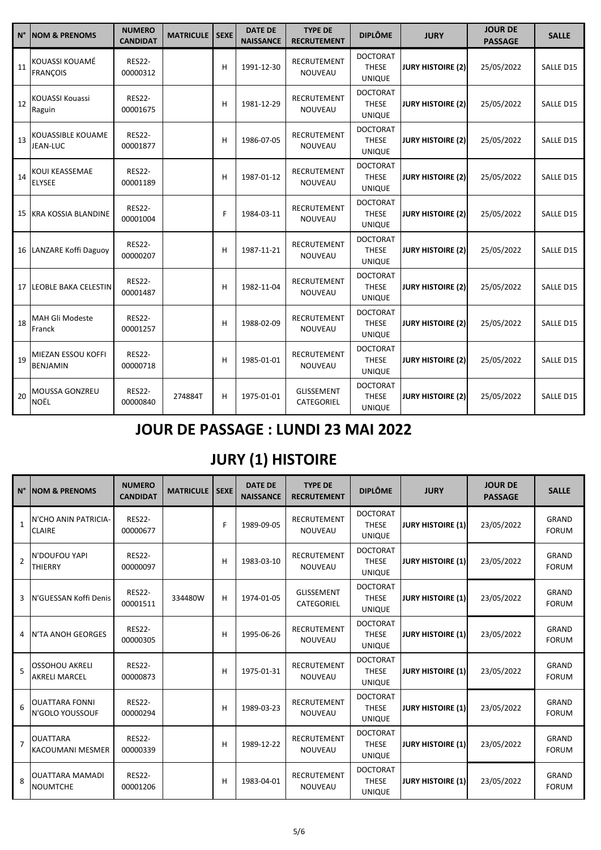| $N^{\circ}$ | <b>NOM &amp; PRENOMS</b>              | <b>NUMERO</b><br><b>CANDIDAT</b> | <b>MATRICULE</b> | <b>SEXE</b> | <b>DATE DE</b><br><b>NAISSANCE</b> | <b>TYPE DE</b><br><b>RECRUTEMENT</b> | <b>DIPLÔME</b>                                   | <b>JURY</b>              | <b>JOUR DE</b><br><b>PASSAGE</b> | <b>SALLE</b> |
|-------------|---------------------------------------|----------------------------------|------------------|-------------|------------------------------------|--------------------------------------|--------------------------------------------------|--------------------------|----------------------------------|--------------|
| 11          | KOUASSI KOUAMÉ<br><b>FRANCOIS</b>     | <b>RES22-</b><br>00000312        |                  | H           | 1991-12-30                         | <b>RECRUTEMENT</b><br><b>NOUVEAU</b> | <b>DOCTORAT</b><br><b>THESE</b><br><b>UNIQUE</b> | <b>JURY HISTOIRE (2)</b> | 25/05/2022                       | SALLE D15    |
| 12          | <b>KOUASSI Kouassi</b><br>Raguin      | <b>RES22-</b><br>00001675        |                  | Н           | 1981-12-29                         | RECRUTEMENT<br><b>NOUVEAU</b>        | <b>DOCTORAT</b><br><b>THESE</b><br><b>UNIQUE</b> | <b>JURY HISTOIRE (2)</b> | 25/05/2022                       | SALLE D15    |
| 13          | KOUASSIBLE KOUAME<br>JEAN-LUC         | <b>RES22-</b><br>00001877        |                  | H           | 1986-07-05                         | <b>RECRUTEMENT</b><br>NOUVEAU        | <b>DOCTORAT</b><br><b>THESE</b><br><b>UNIQUE</b> | <b>JURY HISTOIRE (2)</b> | 25/05/2022                       | SALLE D15    |
| 14          | KOUI KEASSEMAE<br><b>ELYSEE</b>       | <b>RES22-</b><br>00001189        |                  | Н           | 1987-01-12                         | <b>RECRUTEMENT</b><br><b>NOUVEAU</b> | <b>DOCTORAT</b><br><b>THESE</b><br><b>UNIQUE</b> | <b>JURY HISTOIRE (2)</b> | 25/05/2022                       | SALLE D15    |
| 15          | <b>KRA KOSSIA BLANDINE</b>            | <b>RES22-</b><br>00001004        |                  | F           | 1984-03-11                         | <b>RECRUTEMENT</b><br><b>NOUVEAU</b> | <b>DOCTORAT</b><br><b>THESE</b><br><b>UNIQUE</b> | <b>JURY HISTOIRE (2)</b> | 25/05/2022                       | SALLE D15    |
|             | 16 LANZARE Koffi Daguoy               | <b>RES22-</b><br>00000207        |                  | Н           | 1987-11-21                         | RECRUTEMENT<br><b>NOUVEAU</b>        | <b>DOCTORAT</b><br><b>THESE</b><br><b>UNIQUE</b> | <b>JURY HISTOIRE (2)</b> | 25/05/2022                       | SALLE D15    |
| 17          | <b>LEOBLE BAKA CELESTIN</b>           | <b>RES22-</b><br>00001487        |                  | H           | 1982-11-04                         | RECRUTEMENT<br>NOUVEAU               | <b>DOCTORAT</b><br><b>THESE</b><br><b>UNIQUE</b> | <b>JURY HISTOIRE (2)</b> | 25/05/2022                       | SALLE D15    |
| 18          | MAH Gli Modeste<br>Franck             | <b>RES22-</b><br>00001257        |                  | Н           | 1988-02-09                         | RECRUTEMENT<br>NOUVEAU               | <b>DOCTORAT</b><br><b>THESE</b><br><b>UNIQUE</b> | <b>JURY HISTOIRE (2)</b> | 25/05/2022                       | SALLE D15    |
| 19          | MIEZAN ESSOU KOFFI<br><b>BENJAMIN</b> | <b>RES22-</b><br>00000718        |                  | Н           | 1985-01-01                         | <b>RECRUTEMENT</b><br>NOUVEAU        | <b>DOCTORAT</b><br><b>THESE</b><br><b>UNIQUE</b> | <b>JURY HISTOIRE (2)</b> | 25/05/2022                       | SALLE D15    |
| 20          | MOUSSA GONZREU<br><b>NOËL</b>         | <b>RES22-</b><br>00000840        | 274884T          | Н           | 1975-01-01                         | GLISSEMENT<br>CATEGORIEL             | <b>DOCTORAT</b><br><b>THESE</b><br><b>UNIQUE</b> | <b>JURY HISTOIRE (2)</b> | 25/05/2022                       | SALLE D15    |

### **JOUR DE PASSAGE : LUNDI 23 MAI 2022**

## **JURY (1) HISTOIRE**

|                | N° INOM & PRENOMS                             | <b>NUMERO</b><br><b>CANDIDAT</b> | <b>MATRICULE</b> | <b>SEXE</b> | <b>DATE DE</b><br><b>NAISSANCE</b> | <b>TYPE DE</b><br><b>RECRUTEMENT</b> | <b>DIPLÔME</b>                                   | <b>JURY</b>              | <b>JOUR DE</b><br><b>PASSAGE</b> | <b>SALLE</b>                 |
|----------------|-----------------------------------------------|----------------------------------|------------------|-------------|------------------------------------|--------------------------------------|--------------------------------------------------|--------------------------|----------------------------------|------------------------------|
| $\mathbf{1}$   | N'CHO ANIN PATRICIA-<br><b>CLAIRE</b>         | <b>RES22-</b><br>00000677        |                  | F           | 1989-09-05                         | RECRUTEMENT<br><b>NOUVEAU</b>        | <b>DOCTORAT</b><br><b>THESE</b><br><b>UNIQUE</b> | <b>JURY HISTOIRE (1)</b> | 23/05/2022                       | <b>GRAND</b><br><b>FORUM</b> |
| $\mathcal{P}$  | N'DOUFOU YAPI<br><b>THIERRY</b>               | <b>RES22-</b><br>00000097        |                  | н           | 1983-03-10                         | <b>RECRUTEMENT</b><br><b>NOUVEAU</b> | <b>DOCTORAT</b><br><b>THESE</b><br><b>UNIQUE</b> | <b>JURY HISTOIRE (1)</b> | 23/05/2022                       | <b>GRAND</b><br><b>FORUM</b> |
| 3              | IN'GUESSAN Koffi Denis                        | <b>RES22-</b><br>00001511        | 334480W          | н           | 1974-01-05                         | <b>GLISSEMENT</b><br>CATEGORIEL      | <b>DOCTORAT</b><br><b>THESE</b><br><b>UNIQUE</b> | <b>JURY HISTOIRE (1)</b> | 23/05/2022                       | <b>GRAND</b><br><b>FORUM</b> |
| 4              | <b>N'TA ANOH GEORGES</b>                      | <b>RES22-</b><br>00000305        |                  | н           | 1995-06-26                         | <b>RECRUTEMENT</b><br><b>NOUVEAU</b> | <b>DOCTORAT</b><br><b>THESE</b><br><b>UNIQUE</b> | <b>JURY HISTOIRE (1)</b> | 23/05/2022                       | <b>GRAND</b><br><b>FORUM</b> |
| 5              | <b>OSSOHOU AKRELI</b><br><b>AKRELI MARCEL</b> | <b>RES22-</b><br>00000873        |                  | H           | 1975-01-31                         | <b>RECRUTEMENT</b><br><b>NOUVEAU</b> | <b>DOCTORAT</b><br><b>THESE</b><br><b>UNIQUE</b> | <b>JURY HISTOIRE (1)</b> | 23/05/2022                       | <b>GRAND</b><br><b>FORUM</b> |
| 6              | IOUATTARA FONNI<br>N'GOLO YOUSSOUF            | <b>RES22-</b><br>00000294        |                  | н           | 1989-03-23                         | <b>RECRUTEMENT</b><br><b>NOUVEAU</b> | <b>DOCTORAT</b><br><b>THESE</b><br><b>UNIQUE</b> | <b>JURY HISTOIRE (1)</b> | 23/05/2022                       | <b>GRAND</b><br><b>FORUM</b> |
| $\overline{7}$ | <b>OUATTARA</b><br><b>KACOUMANI MESMER</b>    | <b>RES22-</b><br>00000339        |                  | H           | 1989-12-22                         | <b>RECRUTEMENT</b><br><b>NOUVEAU</b> | <b>DOCTORAT</b><br><b>THESE</b><br><b>UNIQUE</b> | <b>JURY HISTOIRE (1)</b> | 23/05/2022                       | <b>GRAND</b><br><b>FORUM</b> |
| 8              | lOUATTARA MAMADI<br><b>NOUMTCHE</b>           | <b>RES22-</b><br>00001206        |                  | н           | 1983-04-01                         | <b>RECRUTEMENT</b><br><b>NOUVEAU</b> | <b>DOCTORAT</b><br><b>THESE</b><br><b>UNIQUE</b> | <b>JURY HISTOIRE (1)</b> | 23/05/2022                       | GRAND<br><b>FORUM</b>        |